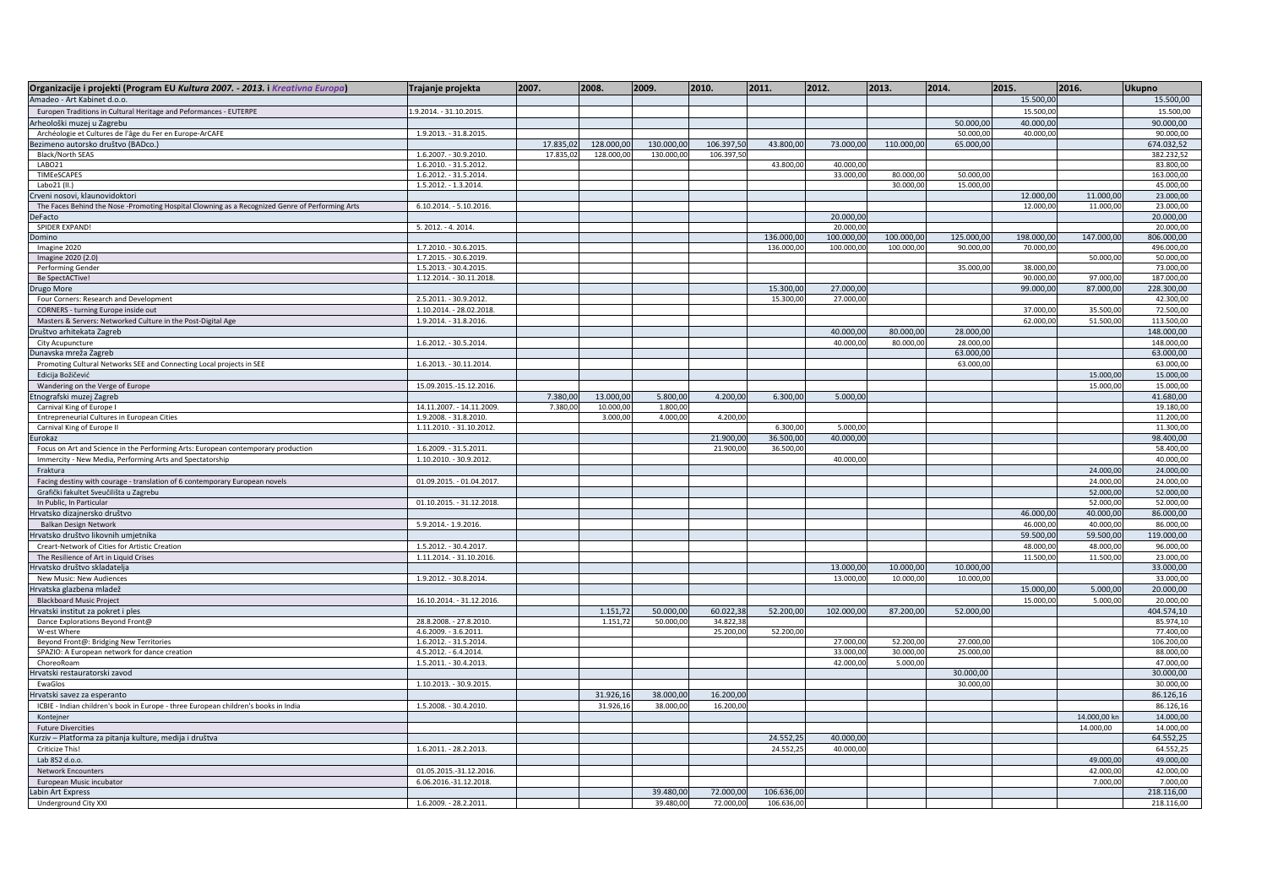| Organizacije i projekti (Program EU Kultura 2007. - 2013. i Kreativna Europa)                   | Trajanje projekta         | 2007.     | 2008.      | 2009.      | 2010.      | 2011.      | 2012.      | 2013.      | 2014.      | 2015.      | 2016.        | Ukupno     |
|-------------------------------------------------------------------------------------------------|---------------------------|-----------|------------|------------|------------|------------|------------|------------|------------|------------|--------------|------------|
| Amadeo - Art Kabinet d.o.o.                                                                     |                           |           |            |            |            |            |            |            |            | 15.500,00  |              | 15.500,00  |
| Europen Traditions in Cultural Heritage and Peformances - EUTERPE                               | 1.9.2014. - 31.10.2015.   |           |            |            |            |            |            |            |            | 15.500,00  |              | 15.500,00  |
| Arheološki muzej u Zagrebu                                                                      |                           |           |            |            |            |            |            |            | 50,000,00  | 40.000,00  |              | 90.000,00  |
| Archéologie et Cultures de l'âge du Fer en Europe-ArCAFE                                        | 1.9.2013. - 31.8.2015.    |           |            |            |            |            |            |            | 50.000,00  | 40.000,00  |              | 90.000,00  |
| Bezimeno autorsko društvo (BADco.)                                                              |                           | 17.835,02 | 128.000,00 | 130.000,00 | 106.397,50 | 43.800,00  | 73.000,00  | 110.000,00 | 65.000,00  |            |              | 674.032,52 |
| Black/North SEAS                                                                                | 1.6.2007. - 30.9.2010.    | 17.835,02 | 128.000,00 | 130.000,00 | 106.397,50 |            |            |            |            |            |              | 382.232,52 |
| LABO21                                                                                          | 1.6.2010. - 31.5.2012.    |           |            |            |            | 43.800,00  | 40,000,00  |            |            |            |              | 83,800.00  |
| TIMEeSCAPES                                                                                     | 1.6.2012. - 31.5.2014.    |           |            |            |            |            | 33.000,00  | 80.000,00  | 50.000,00  |            |              | 163.000,00 |
| Labo21 (II.)                                                                                    | 1.5.2012. - 1.3.2014.     |           |            |            |            |            |            | 30.000,00  | 15.000,00  |            |              | 45.000,00  |
| rveni nosovi, klaunovidoktori                                                                   |                           |           |            |            |            |            |            |            |            | 12.000,00  | 11.000,00    | 23.000,00  |
| The Faces Behind the Nose -Promoting Hospital Clowning as a Recognized Genre of Performing Arts | 6.10.2014. - 5.10.2016.   |           |            |            |            |            |            |            |            | 12.000,00  | 11.000,00    | 23.000,00  |
| DeFacto                                                                                         |                           |           |            |            |            |            | 20.000,00  |            |            |            |              | 20.000,00  |
| SPIDER EXPAND!                                                                                  | 5. 2012. - 4. 2014.       |           |            |            |            |            | 20.000,0   |            |            |            |              | 20.000,00  |
| Domino                                                                                          |                           |           |            |            |            | 136.000,00 | 100.000,00 | 100.000,00 | 125.000,00 | 198.000,00 | 147.000,00   | 806.000,00 |
| Imagine 2020                                                                                    | 1.7.2010. - 30.6.2015.    |           |            |            |            | 136.000,00 | 100.000,00 | 100.000,00 | 90.000,00  | 70.000,00  |              | 496.000,00 |
| Imagine 2020 (2.0)                                                                              | 1.7.2015. - 30.6.2019.    |           |            |            |            |            |            |            |            |            | 50.000,00    | 50.000,00  |
| Performing Gender                                                                               | 1.5.2013. - 30.4.2015.    |           |            |            |            |            |            |            | 35.000,00  | 38.000,00  |              | 73.000,00  |
| Be SpectACTive!                                                                                 | 1.12.2014. - 30.11.2018.  |           |            |            |            |            |            |            |            | 90.000,00  | 97.000,00    | 187.000,00 |
| <b>Drugo More</b>                                                                               |                           |           |            |            |            | 15.300,00  | 27.000,0   |            |            | 99.000,00  | 87.000,00    | 228.300,00 |
| Four Corners: Research and Development                                                          | 2.5.2011. - 30.9.2012.    |           |            |            |            | 15.300,00  | 27.000,00  |            |            |            |              | 42.300,00  |
| CORNERS - turning Europe inside out                                                             | 1.10.2014. - 28.02.2018.  |           |            |            |            |            |            |            |            | 37.000,00  | 35.500,00    | 72.500,00  |
| Masters & Servers: Networked Culture in the Post-Digital Age                                    | 1.9.2014. - 31.8.2016.    |           |            |            |            |            |            |            |            | 62.000,00  | 51.500,00    | 113.500,00 |
| Društvo arhitekata Zagreb                                                                       |                           |           |            |            |            |            | 40,000,0   | 80.000,00  | 28.000,00  |            |              | 148.000,00 |
| City Acupuncture                                                                                | 1.6.2012. - 30.5.2014.    |           |            |            |            |            | 40.000,00  | 80.000,00  | 28.000,00  |            |              | 148.000,00 |
| Dunavska mreža Zagreb                                                                           |                           |           |            |            |            |            |            |            | 63.000,00  |            |              | 63.000,00  |
| Promoting Cultural Networks SEE and Connecting Local projects in SEE                            | 1.6.2013. - 30.11.2014.   |           |            |            |            |            |            |            | 63.000,00  |            |              | 63.000,00  |
| Edicija Božičević                                                                               |                           |           |            |            |            |            |            |            |            |            | 15.000,00    | 15.000,00  |
| Wandering on the Verge of Europe                                                                | 15.09.2015.-15.12.2016.   |           |            |            |            |            |            |            |            |            | 15.000,00    | 15.000,00  |
| tnografski muzej Zagreb                                                                         |                           | 7.380,00  | 13.000,00  | 5.800,00   | 4.200,00   | 6.300,00   | 5.000,00   |            |            |            |              | 41.680,00  |
| Carnival King of Europe I                                                                       | 14.11.2007. - 14.11.2009. | 7.380,00  | 10.000,00  | 1.800,00   |            |            |            |            |            |            |              | 19.180,00  |
| Entrepreneurial Cultures in European Cities                                                     | 1.9.2008. - 31.8.2010.    |           | 3.000,00   | 4.000,00   | 4.200,00   |            |            |            |            |            |              | 11.200,00  |
| Carnival King of Europe II                                                                      | 1.11.2010. - 31.10.2012.  |           |            |            |            | 6.300,00   | 5.000,00   |            |            |            |              | 11.300,00  |
| urokaz                                                                                          |                           |           |            |            | 21.900,00  | 36.500,00  | 40.000,00  |            |            |            |              | 98.400,00  |
| Focus on Art and Science in the Performing Arts: European contemporary production               | 1.6.2009. - 31.5.2011.    |           |            |            | 21.900,00  | 36.500,00  |            |            |            |            |              | 58,400.00  |
| Immercity - New Media, Performing Arts and Spectatorship                                        | 1.10.2010. - 30.9.2012.   |           |            |            |            |            | 40.000,00  |            |            |            |              | 40.000,00  |
| Fraktura                                                                                        |                           |           |            |            |            |            |            |            |            |            | 24.000,00    | 24.000,00  |
| Facing destiny with courage - translation of 6 contemporary European novels                     | 01.09.2015. - 01.04.2017. |           |            |            |            |            |            |            |            |            | 24.000,00    | 24.000,00  |
| Grafički fakultet Sveučilišta u Zagrebu                                                         |                           |           |            |            |            |            |            |            |            |            | 52.000,00    | 52.000,00  |
| In Public, In Particular                                                                        | 01.10.2015. - 31.12.2018. |           |            |            |            |            |            |            |            |            | 52.000,00    | 52.000,00  |
| Irvatsko dizajnersko društvo                                                                    |                           |           |            |            |            |            |            |            |            | 46.000,00  | 40.000,00    | 86.000,00  |
| Balkan Design Network                                                                           | 5.9.2014.-1.9.2016.       |           |            |            |            |            |            |            |            | 46.000,00  | 40.000,00    | 86.000,00  |
| Irvatsko društvo likovnih umjetnika                                                             |                           |           |            |            |            |            |            |            |            | 59.500,00  | 59.500,00    | 119.000,00 |
| Creart-Network of Cities for Artistic Creation                                                  | 1.5.2012. - 30.4.2017.    |           |            |            |            |            |            |            |            | 48.000,00  | 48.000,00    | 96.000,00  |
| The Resilience of Art in Liquid Crises                                                          | 1.11.2014. - 31.10.2016.  |           |            |            |            |            |            |            |            | 11.500,00  | 11.500,00    | 23.000,00  |
| Hrvatsko društvo skladatelja                                                                    |                           |           |            |            |            |            | 13.000,00  | 10.000,00  | 10.000,00  |            |              | 33,000.00  |
| New Music: New Audiences                                                                        | 1.9.2012. - 30.8.2014.    |           |            |            |            |            | 13.000,00  | 10.000,00  | 10.000,00  |            |              | 33.000,00  |
| Irvatska glazbena mladež                                                                        |                           |           |            |            |            |            |            |            |            | 15.000,00  | 5.000,00     | 20.000,00  |
| <b>Blackboard Music Project</b>                                                                 | 16.10.2014. - 31.12.2016. |           |            |            |            |            |            |            |            | 15.000,00  | 5.000,00     | 20.000,00  |
| Irvatski institut za pokret i ples                                                              |                           |           | 1.151,72   | 50.000,00  | 60.022,38  | 52.200,00  | 102.000,00 | 87.200,00  | 52.000,00  |            |              | 404.574,10 |
| Dance Explorations Beyond Front@                                                                | 28.8.2008. - 27.8.2010.   |           | 1.151,72   | 50.000,00  | 34.822,38  |            |            |            |            |            |              | 85.974,10  |
| W-est Where                                                                                     | 4.6.2009. - 3.6.2011.     |           |            |            | 25.200,00  | 52.200,00  |            |            |            |            |              | 77.400,00  |
| Beyond Front@: Bridging New Territories                                                         | 1.6.2012. - 31.5.2014.    |           |            |            |            |            | 27.000,00  | 52.200,00  | 27.000,00  |            |              | 106.200,00 |
| SPAZIO: A European network for dance creation                                                   | 4.5.2012. - 6.4.2014.     |           |            |            |            |            | 33.000,00  | 30.000,00  | 25.000,00  |            |              | 88.000,00  |
| ChoreoRoam                                                                                      | 1.5.2011. - 30.4.2013.    |           |            |            |            |            | 42.000,00  | 5.000,00   |            |            |              | 47.000,00  |
| Irvatski restauratorski zavod                                                                   |                           |           |            |            |            |            |            |            | 30.000,00  |            |              | 30.000,00  |
| EwaGlos                                                                                         | 1.10.2013. - 30.9.2015.   |           |            |            |            |            |            |            | 30.000,00  |            |              | 30.000,00  |
| Irvatski savez za esperanto                                                                     |                           |           | 31.926,16  | 38.000,00  | 16.200,00  |            |            |            |            |            |              | 86.126,16  |
| ICBIE - Indian children's book in Europe - three European children's books in India             | 1.5.2008. - 30.4.2010.    |           | 31.926,16  | 38.000,00  | 16.200,00  |            |            |            |            |            |              | 86.126,16  |
| Kontejner                                                                                       |                           |           |            |            |            |            |            |            |            |            | 14.000,00 kn | 14.000,00  |
| <b>Future Divercities</b>                                                                       |                           |           |            |            |            |            |            |            |            |            | 14.000,00    | 14.000,00  |
| (urziv - Platforma za pitanja kulture, medija i društva                                         |                           |           |            |            |            | 24.552,25  | 40.000,00  |            |            |            |              | 64.552,25  |
| Criticize This!                                                                                 | 1.6.2011. - 28.2.2013.    |           |            |            |            | 24.552,25  | 40.000,00  |            |            |            |              | 64.552,25  |
| Lab 852 d.o.o.                                                                                  |                           |           |            |            |            |            |            |            |            |            | 49.000,00    | 49.000,00  |
| Network Encounters                                                                              | 01.05.2015.-31.12.2016.   |           |            |            |            |            |            |            |            |            | 42.000,00    | 42.000,00  |
| European Music incubator                                                                        | 6.06.2016.-31.12.2018.    |           |            |            |            |            |            |            |            |            | 7.000,00     | 7.000.00   |
| abin Art Express                                                                                |                           |           |            | 39.480,00  | 72.000,00  | 106.636,00 |            |            |            |            |              | 218.116,00 |
| Underground City XXI                                                                            | 1.6.2009. - 28.2.2011.    |           |            | 39.480.00  | 72,000.00  | 106.636.00 |            |            |            |            |              | 218.116,00 |
|                                                                                                 |                           |           |            |            |            |            |            |            |            |            |              |            |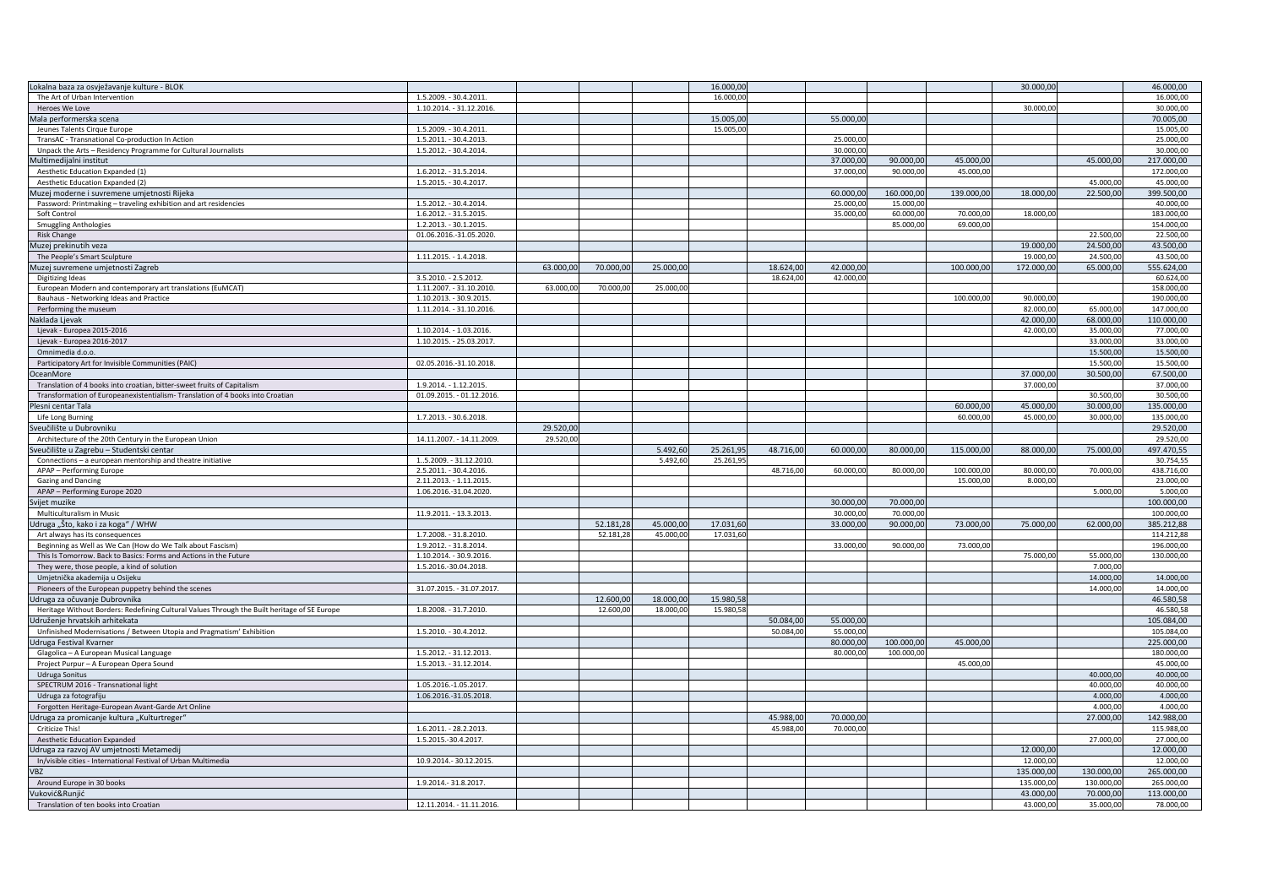| Lokalna baza za osvježavanje kulture - BLOK                                                             |                                                 |           |           |                      | 16.000,00              |           |           |            |            | 30.000,00  |            | 46.000,00               |
|---------------------------------------------------------------------------------------------------------|-------------------------------------------------|-----------|-----------|----------------------|------------------------|-----------|-----------|------------|------------|------------|------------|-------------------------|
| The Art of Urban Intervention                                                                           | 1.5.2009. - 30.4.2011.                          |           |           |                      | 16,000.00              |           |           |            |            |            |            | 16,000.00               |
| Heroes We Love                                                                                          | 1.10.2014. - 31.12.2016.                        |           |           |                      |                        |           |           |            |            | 30.000,00  |            | 30.000,00               |
| Mala performerska scena                                                                                 |                                                 |           |           |                      | 15.005,00              |           | 55.000,00 |            |            |            |            | 70.005.00               |
| Jeunes Talents Cirque Europe                                                                            | 1.5.2009. - 30.4.2011.                          |           |           |                      | 15.005,00              |           |           |            |            |            |            | 15.005,00               |
| TransAC - Transnational Co-production In Action                                                         | 1.5.2011. - 30.4.2013.                          |           |           |                      |                        |           | 25.000,00 |            |            |            |            | 25.000,00               |
| Unpack the Arts - Residency Programme for Cultural Journalists                                          | 1.5.2012. - 30.4.2014.                          |           |           |                      |                        |           | 30.000,00 |            |            |            |            | 30.000,00               |
| Multimedijalni institut                                                                                 |                                                 |           |           |                      |                        |           | 37.000,00 | 90.000,00  | 45.000,00  |            | 45.000,00  | 217.000,00              |
| Aesthetic Education Expanded (1)                                                                        | 1.6.2012. - 31.5.2014.                          |           |           |                      |                        |           | 37.000,00 | 90.000,00  | 45.000,00  |            |            | 172.000,00              |
| Aesthetic Education Expanded (2)                                                                        | 1.5.2015. - 30.4.2017.                          |           |           |                      |                        |           |           |            |            |            | 45.000,00  | 45.000,00               |
| Muzej moderne i suvremene umjetnosti Rijeka                                                             |                                                 |           |           |                      |                        |           | 60.000,00 | 160.000,00 | 139.000,00 | 18.000,00  | 22.500,00  | 399.500,00              |
| Password: Printmaking - traveling exhibition and art residencies                                        | 1.5.2012. - 30.4.2014.                          |           |           |                      |                        |           | 25.000,00 | 15.000,00  |            |            |            | 40.000,00               |
| Soft Control                                                                                            | 1.6.2012. - 31.5.2015                           |           |           |                      |                        |           | 35.000,00 | 60.000,00  | 70.000,00  | 18.000,00  |            | 183.000,00              |
| <b>Smuggling Anthologies</b>                                                                            | 1.2.2013. - 30.1.2015.                          |           |           |                      |                        |           |           | 85.000,00  | 69.000,00  |            |            | 154.000,00              |
| <b>Risk Change</b>                                                                                      | 01.06.2016.-31.05.2020.                         |           |           |                      |                        |           |           |            |            |            | 22.500.00  | 22.500,00               |
| Muzej prekinutih veza                                                                                   |                                                 |           |           |                      |                        |           |           |            |            | 19.000,00  | 24.500,00  | 43.500,00               |
| The People's Smart Sculpture                                                                            | 1.11.2015. - 1.4.2018.                          |           |           |                      |                        |           |           |            |            | 19.000,00  | 24.500,00  | 43.500.00               |
| Muzej suvremene umjetnosti Zagreb                                                                       |                                                 | 63.000.00 | 70.000,00 | 25.000,00            |                        | 18.624,00 | 42.000,00 |            | 100.000,00 | 172.000,00 | 65.000,00  | 555.624,00              |
| Digitizing Ideas                                                                                        | 3.5.2010. - 2.5.2012.                           |           |           |                      |                        | 18.624,00 | 42.000,00 |            |            |            |            | 60.624,00               |
| European Modern and contemporary art translations (EuMCAT)                                              | 1.11.2007. - 31.10.2010.                        | 63.000,00 | 70.000,00 | 25.000,00            |                        |           |           |            |            |            |            | 158.000,00              |
| Bauhaus - Networking Ideas and Practice                                                                 | 1.10.2013. - 30.9.2015.                         |           |           |                      |                        |           |           |            | 100.000,00 | 90.000,00  |            | 190.000,00              |
| Performing the museum                                                                                   | 1.11.2014. - 31.10.2016.                        |           |           |                      |                        |           |           |            |            | 82.000.00  | 65.000.00  | 147,000.00              |
| Naklada Ljevak                                                                                          |                                                 |           |           |                      |                        |           |           |            |            | 42.000,00  | 68.000,00  | 110.000,00              |
| Ljevak - Europea 2015-2016                                                                              | 1.10.2014. - 1.03.2016.                         |           |           |                      |                        |           |           |            |            | 42.000,00  | 35.000,00  | 77.000,00               |
| Ljevak - Europea 2016-2017                                                                              | 1.10.2015. - 25.03.2017.                        |           |           |                      |                        |           |           |            |            |            | 33.000,00  | 33.000,00               |
| Omnimedia d.o.o.                                                                                        |                                                 |           |           |                      |                        |           |           |            |            |            | 15.500,00  | 15.500,00               |
| Participatory Art for Invisible Communities (PAIC)                                                      | 02.05.2016.-31.10.2018.                         |           |           |                      |                        |           |           |            |            |            | 15.500,00  | 15.500,00               |
| OceanMore                                                                                               |                                                 |           |           |                      |                        |           |           |            |            | 37.000,00  | 30.500,00  | 67.500,00               |
| Translation of 4 books into croatian, bitter-sweet fruits of Capitalism                                 | 1.9.2014. - 1.12.2015.                          |           |           |                      |                        |           |           |            |            | 37,000.00  |            | 37.000,00               |
| Transformation of Europeanexistentialism-Translation of 4 books into Croatian                           | 01.09.2015. - 01.12.2016.                       |           |           |                      |                        |           |           |            |            |            | 30.500,00  | 30.500,00               |
| Plesni centar Tala                                                                                      |                                                 |           |           |                      |                        |           |           |            | 60.000,00  | 45,000.00  | 30.000.00  | 135.000,00              |
| Life Long Burning                                                                                       | 1.7.2013. - 30.6.2018.                          |           |           |                      |                        |           |           |            | 60.000,00  | 45.000,00  | 30.000,00  | 135.000,00              |
| Sveučilište u Dubrovniku                                                                                |                                                 | 29.520,00 |           |                      |                        |           |           |            |            |            |            | 29.520,00               |
| Architecture of the 20th Century in the European Union                                                  | 14.11.2007. - 14.11.2009.                       | 29.520,00 |           |                      |                        |           |           |            |            |            |            | 29.520,00               |
|                                                                                                         |                                                 |           |           |                      |                        |           |           |            |            |            |            |                         |
| Sveučilište u Zagrebu - Studentski centar<br>Connections - a european mentorship and theatre initiative | 15.2009. - 31.12.2010.                          |           |           | 5.492,60<br>5.492.60 | 25.261,95<br>25.261,95 | 48.716,00 | 60.000,00 | 80.000,00  | 115.000,00 | 88.000,00  | 75.000,00  | 497.470,55<br>30.754,55 |
| APAP - Performing Europe                                                                                | 2.5.2011. - 30.4.2016.                          |           |           |                      |                        | 48.716,00 | 60.000,00 | 80.000,00  | 100.000,00 | 80.000,00  | 70.000,00  | 438.716,00              |
|                                                                                                         |                                                 |           |           |                      |                        |           |           |            | 15.000,00  | 8.000,00   |            | 23.000,00               |
| Gazing and Dancing<br>APAP - Performing Europe 2020                                                     | 2.11.2013. - 1.11.2015<br>1.06.2016.-31.04.2020 |           |           |                      |                        |           |           |            |            |            | 5.000,00   | 5.000,00                |
|                                                                                                         |                                                 |           |           |                      |                        |           | 30.000,00 | 70.000,00  |            |            |            | 100.000,00              |
| Svijet muzike                                                                                           |                                                 |           |           |                      |                        |           |           |            |            |            |            |                         |
| Multiculturalism in Music                                                                               | 11.9.2011. - 13.3.2013.                         |           |           |                      |                        |           | 30.000,00 | 70.000,00  |            |            |            | 100.000,00              |
| Udruga "Što, kako i za koga" / WHW                                                                      |                                                 |           | 52.181,28 | 45.000,00            | 17.031,60              |           | 33.000,00 | 90.000,00  | 73.000,00  | 75.000,00  | 62.000,00  | 385.212,88              |
| Art always has its consequences                                                                         | 1.7.2008. - 31.8.2010.                          |           | 52.181,28 | 45.000,00            | 17.031,60              |           |           |            |            |            |            | 114.212,88              |
| Beginning as Well as We Can (How do We Talk about Fascism)                                              | 1.9.2012. - 31.8.2014.                          |           |           |                      |                        |           | 33.000,00 | 90,000,00  | 73.000,00  |            |            | 196,000,00              |
| This Is Tomorrow. Back to Basics: Forms and Actions in the Future                                       | 1.10.2014. - 30.9.2016.                         |           |           |                      |                        |           |           |            |            | 75.000,00  | 55.000,00  | 130.000,00              |
| They were, those people, a kind of solution                                                             | 1.5.2016.-30.04.2018.                           |           |           |                      |                        |           |           |            |            |            | 7.000,00   |                         |
| Umjetnička akademija u Osijeku                                                                          |                                                 |           |           |                      |                        |           |           |            |            |            | 14.000,00  | 14.000,00               |
| Pioneers of the European puppetry behind the scenes                                                     | 31.07.2015. - 31.07.2017.                       |           |           |                      |                        |           |           |            |            |            | 14.000,00  | 14.000,00               |
| Jdruga za očuvanje Dubrovnika                                                                           |                                                 |           | 12.600,00 | 18.000,00            | 15.980,58              |           |           |            |            |            |            | 46.580,58               |
| Heritage Without Borders: Redefining Cultural Values Through the Built heritage of SE Europe            | 1.8.2008. - 31.7.2010.                          |           | 12.600,00 | 18.000,00            | 15.980,58              |           |           |            |            |            |            | 46.580,58               |
| Udruženje hrvatskih arhitekata                                                                          |                                                 |           |           |                      |                        | 50.084,00 | 55.000,00 |            |            |            |            | 105.084,00              |
| Unfinished Modernisations / Between Utopia and Pragmatism' Exhibition                                   | 1.5.2010. - 30.4.2012.                          |           |           |                      |                        | 50.084,00 | 55.000,00 |            |            |            |            | 105.084,00              |
| Jdruga Festival Kvarner                                                                                 |                                                 |           |           |                      |                        |           | 80.000,00 | 100.000,00 | 45,000.00  |            |            | 225.000,00              |
| Glagolica - A European Musical Language                                                                 | 1.5.2012. - 31.12.2013.                         |           |           |                      |                        |           | 80.000,00 | 100.000,00 |            |            |            | 180.000,00              |
| Project Purpur - A European Opera Sound                                                                 | 1.5.2013. - 31.12.2014.                         |           |           |                      |                        |           |           |            | 45.000,00  |            |            | 45.000,00               |
| <b>Udruga Sonitus</b>                                                                                   |                                                 |           |           |                      |                        |           |           |            |            |            | 40.000.00  | 40.000.00               |
| SPECTRUM 2016 - Transnational light                                                                     | 1.05.2016.-1.05.2017.                           |           |           |                      |                        |           |           |            |            |            | 40.000,00  | 40.000,00               |
| Udruga za fotografiju                                                                                   | 1.06.2016.-31.05.2018.                          |           |           |                      |                        |           |           |            |            |            | 4.000,00   | 4.000,00                |
| Forgotten Heritage-European Avant-Garde Art Online                                                      |                                                 |           |           |                      |                        |           |           |            |            |            | 4.000,00   | 4.000,00                |
| Udruga za promicanje kultura "Kulturtreger"                                                             |                                                 |           |           |                      |                        | 45.988,00 | 70.000,00 |            |            |            | 27.000,00  | 142.988,00              |
| Criticize This!                                                                                         | 1.6.2011. - 28.2.2013.                          |           |           |                      |                        | 45.988,00 | 70.000,00 |            |            |            |            | 115.988,00              |
| Aesthetic Education Expanded                                                                            | 1.5.2015.-30.4.2017.                            |           |           |                      |                        |           |           |            |            |            | 27.000,00  | 27.000,00               |
| Udruga za razvoj AV umjetnosti Metamedij                                                                |                                                 |           |           |                      |                        |           |           |            |            | 12.000,00  |            | 12.000.00               |
| In/visible cities - International Festival of Urban Multimedia                                          | 10.9.2014. - 30.12.2015.                        |           |           |                      |                        |           |           |            |            | 12.000,00  |            | 12.000,00               |
| <b>VBZ</b>                                                                                              |                                                 |           |           |                      |                        |           |           |            |            | 135.000,00 | 130.000,00 | 265.000,00              |
| Around Europe in 30 books                                                                               | 1.9.2014. - 31.8.2017.                          |           |           |                      |                        |           |           |            |            | 135.000,00 | 130.000,00 | 265.000,00              |
| Vuković&Runjić                                                                                          |                                                 |           |           |                      |                        |           |           |            |            | 43.000,00  | 70.000,00  | 113.000,00              |
| Translation of ten books into Croatian                                                                  | 12.11.2014. - 11.11.2016.                       |           |           |                      |                        |           |           |            |            | 43.000,00  | 35.000,00  | 78.000,00               |